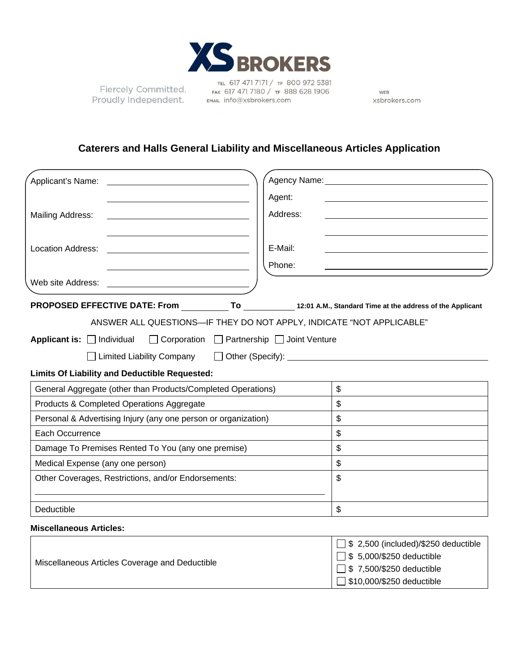

Fiercely Committed. Proudly Independent.

TEL 617 471 7171 / TF 800 972 5381 FAX 617 471 7180 / TF 888 628 1906 EMAIL info@xsbrokers.com

WEB xsbrokers.com

□ \$10,000/\$250 deductible

# **Caterers and Halls General Liability and Miscellaneous Articles Application**

| Applicant's Name:                                                                          |                                             | Agency Name: Name: Name and Agency Name and Agency Name and Agency Name and Agency Name and Agency Name and Agency Name and Agency Name and Agency Name and Agency Name and Agency Name and Agency Name and Agency Name and Ag       |
|--------------------------------------------------------------------------------------------|---------------------------------------------|--------------------------------------------------------------------------------------------------------------------------------------------------------------------------------------------------------------------------------------|
|                                                                                            | Agent:                                      |                                                                                                                                                                                                                                      |
| <b>Mailing Address:</b>                                                                    | Address:                                    |                                                                                                                                                                                                                                      |
| <b>Location Address:</b>                                                                   | E-Mail:<br>Phone:                           |                                                                                                                                                                                                                                      |
| Web site Address:                                                                          |                                             |                                                                                                                                                                                                                                      |
| PROPOSED EFFECTIVE DATE: From To 12:01 A.M., Standard Time at the address of the Applicant |                                             |                                                                                                                                                                                                                                      |
| ANSWER ALL QUESTIONS-IF THEY DO NOT APPLY, INDICATE "NOT APPLICABLE"                       |                                             |                                                                                                                                                                                                                                      |
| Applicant is: Individual                                                                   | □ Corporation □ Partnership □ Joint Venture |                                                                                                                                                                                                                                      |
| $\Box$ Limited Liability Company                                                           |                                             | Other (Specify): <u>Container and Secretary and Secretary and Secretary and Secretary and Secretary and Secretary and Secretary and Secretary and Secretary and Secretary and Secretary and Secretary and Secretary and Secretar</u> |
| <b>Limits Of Liability and Deductible Requested:</b>                                       |                                             |                                                                                                                                                                                                                                      |
| General Aggregate (other than Products/Completed Operations)                               |                                             | \$                                                                                                                                                                                                                                   |
| Products & Completed Operations Aggregate                                                  |                                             | \$                                                                                                                                                                                                                                   |
| Personal & Advertising Injury (any one person or organization)                             |                                             | \$                                                                                                                                                                                                                                   |
| Each Occurrence                                                                            |                                             | \$                                                                                                                                                                                                                                   |
| Damage To Premises Rented To You (any one premise)                                         |                                             | \$                                                                                                                                                                                                                                   |
| Medical Expense (any one person)                                                           |                                             | \$                                                                                                                                                                                                                                   |
| Other Coverages, Restrictions, and/or Endorsements:                                        |                                             | \$                                                                                                                                                                                                                                   |
| Deductible                                                                                 |                                             | \$                                                                                                                                                                                                                                   |
| <b>Miscellaneous Articles:</b>                                                             |                                             |                                                                                                                                                                                                                                      |
| Miscellaneous Articles Coverage and Deductible                                             |                                             | \$ 2,500 (included)/\$250 deductible<br>\$5,000/\$250 deductible<br>\$7,500/\$250 deductible                                                                                                                                         |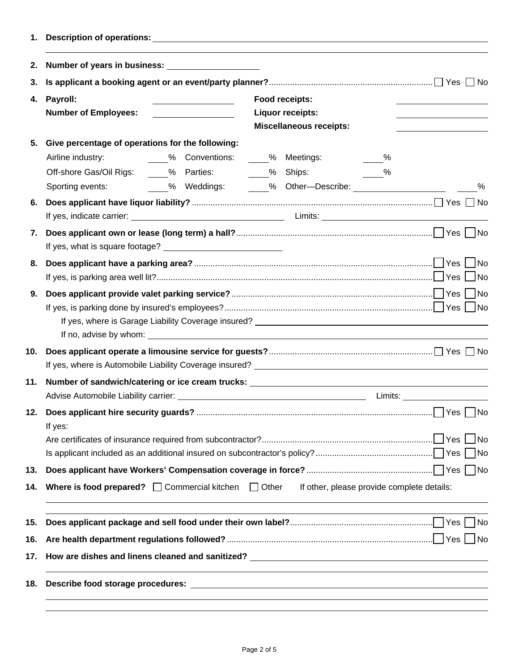| 1.  |                                                                                                           |                                                                 |                                                                             |               |                                 |      |
|-----|-----------------------------------------------------------------------------------------------------------|-----------------------------------------------------------------|-----------------------------------------------------------------------------|---------------|---------------------------------|------|
| 2.  |                                                                                                           |                                                                 |                                                                             |               |                                 |      |
| З.  |                                                                                                           |                                                                 |                                                                             |               |                                 |      |
|     | 4. Payroll:<br><b>Number of Employees:</b>                                                                | <u> 1989 - Johann Stoff, fransk politik (</u>                   | Food receipts:<br><b>Liquor receipts:</b><br><b>Miscellaneous receipts:</b> |               |                                 |      |
| 5.  | Give percentage of operations for the following:                                                          |                                                                 |                                                                             |               |                                 |      |
|     | Airline industry:                                                                                         | ____% Conventions: _____% Meetings:                             |                                                                             | $\frac{9}{6}$ |                                 |      |
|     | Off-shore Gas/Oil Rigs: _____% Parties: _______% Ships: _______%                                          |                                                                 |                                                                             |               |                                 |      |
|     | Sporting events:                                                                                          | _____% Weddings: _______% Other—Describe: _____________________ |                                                                             |               |                                 | $\%$ |
| 6.  |                                                                                                           |                                                                 |                                                                             |               |                                 |      |
|     |                                                                                                           |                                                                 |                                                                             |               |                                 |      |
| 7.  |                                                                                                           |                                                                 |                                                                             |               |                                 |      |
| 8.  |                                                                                                           |                                                                 |                                                                             |               |                                 |      |
| 9.  |                                                                                                           |                                                                 |                                                                             |               |                                 |      |
| 10. |                                                                                                           |                                                                 |                                                                             |               |                                 |      |
| 11. | Number of sandwich/catering or ice cream trucks: ________________________________                         |                                                                 |                                                                             |               | Limits: _______________________ |      |
|     | If yes:                                                                                                   |                                                                 |                                                                             |               |                                 |      |
| 13. |                                                                                                           |                                                                 |                                                                             |               |                                 |      |
| 14. | Where is food prepared? $\Box$ Commercial kitchen $\Box$ Other If other, please provide complete details: |                                                                 |                                                                             |               |                                 |      |
| 15. |                                                                                                           |                                                                 |                                                                             |               |                                 |      |
| 16. |                                                                                                           |                                                                 |                                                                             |               |                                 |      |
| 17. |                                                                                                           |                                                                 |                                                                             |               |                                 |      |
| 18. |                                                                                                           |                                                                 |                                                                             |               |                                 |      |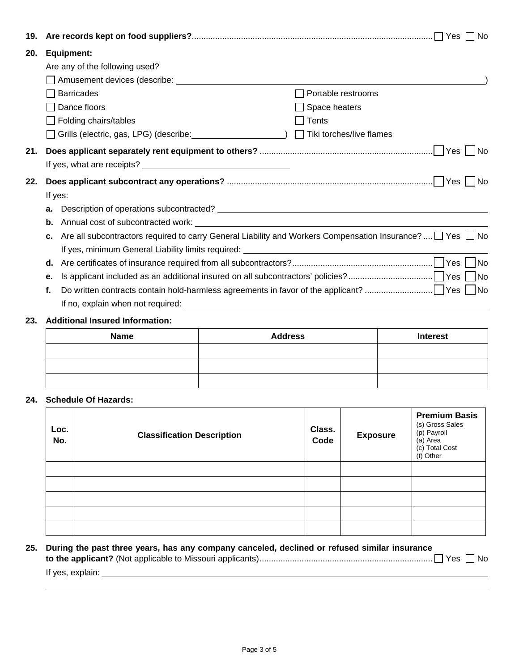| 19. |    |                                                                                                                     |                      |
|-----|----|---------------------------------------------------------------------------------------------------------------------|----------------------|
| 20. |    | <b>Equipment:</b>                                                                                                   |                      |
|     |    | Are any of the following used?                                                                                      |                      |
|     |    |                                                                                                                     |                      |
|     |    | <b>Barricades</b>                                                                                                   | Portable restrooms   |
|     |    | Dance floors                                                                                                        | $\Box$ Space heaters |
|     |    | $\Box$ Folding chairs/tables                                                                                        | ∣ Tents              |
|     |    | □ Grills (electric, gas, LPG) (describe: _____________________) □ Tiki torches/live flames                          |                      |
| 21. |    |                                                                                                                     | 1No                  |
|     |    |                                                                                                                     |                      |
| 22. |    |                                                                                                                     | 1No                  |
|     |    | If yes:                                                                                                             |                      |
|     | а. |                                                                                                                     |                      |
|     | b. |                                                                                                                     |                      |
|     | c. | Are all subcontractors required to carry General Liability and Workers Compensation Insurance? $\Box$ Yes $\Box$ No |                      |
|     |    |                                                                                                                     |                      |
|     | d. |                                                                                                                     |                      |
|     | е. |                                                                                                                     |                      |
|     | f. |                                                                                                                     |                      |
|     |    |                                                                                                                     |                      |
|     |    |                                                                                                                     |                      |

### **23. Additional Insured Information:**

| <b>Name</b> | <b>Address</b> | <b>Interest</b> |
|-------------|----------------|-----------------|
|             |                |                 |
|             |                |                 |
|             |                |                 |

## **24. Schedule Of Hazards:**

| Loc.<br>No. | <b>Classification Description</b> | Class.<br>Code | <b>Exposure</b> | <b>Premium Basis</b><br>(s) Gross Sales<br>(p) Payroll<br>(a) Area<br>(c) Total Cost<br>(t) Other |
|-------------|-----------------------------------|----------------|-----------------|---------------------------------------------------------------------------------------------------|
|             |                                   |                |                 |                                                                                                   |
|             |                                   |                |                 |                                                                                                   |
|             |                                   |                |                 |                                                                                                   |
|             |                                   |                |                 |                                                                                                   |
|             |                                   |                |                 |                                                                                                   |

# **25. During the past three years, has any company canceled, declined or refused similar insurance to the applicant?** (Not applicable to Missouri applicants) .......................................................................... Yes No If yes, explain: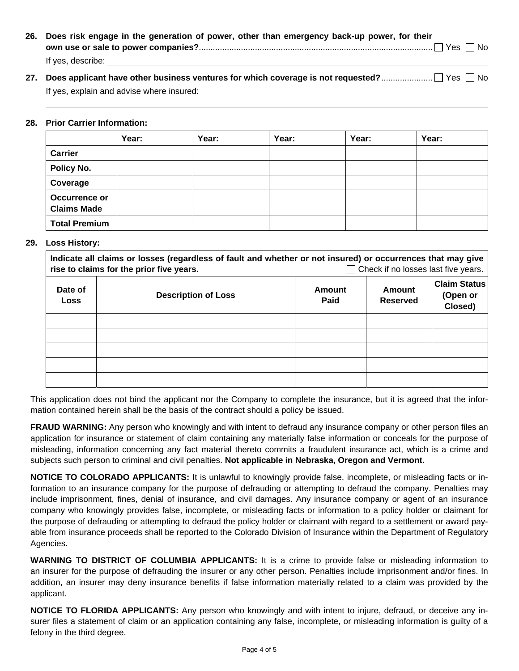| 26. Does risk engage in the generation of power, other than emergency back-up power, for their |
|------------------------------------------------------------------------------------------------|
|                                                                                                |
| If yes, describe:                                                                              |

| If yes, explain and advise where insured: |
|-------------------------------------------|

#### **28. Prior Carrier Information:**

|                                     | Year: | Year: | Year: | Year: | Year: |
|-------------------------------------|-------|-------|-------|-------|-------|
| <b>Carrier</b>                      |       |       |       |       |       |
| Policy No.                          |       |       |       |       |       |
| Coverage                            |       |       |       |       |       |
| Occurrence or<br><b>Claims Made</b> |       |       |       |       |       |
| <b>Total Premium</b>                |       |       |       |       |       |

### **29. Loss History:**

| Indicate all claims or losses (regardless of fault and whether or not insured) or occurrences that may give<br>Check if no losses last five years.<br>rise to claims for the prior five years. |                            |                |                           |                                            |
|------------------------------------------------------------------------------------------------------------------------------------------------------------------------------------------------|----------------------------|----------------|---------------------------|--------------------------------------------|
| Date of<br><b>Loss</b>                                                                                                                                                                         | <b>Description of Loss</b> | Amount<br>Paid | Amount<br><b>Reserved</b> | <b>Claim Status</b><br>(Open or<br>Closed) |
|                                                                                                                                                                                                |                            |                |                           |                                            |
|                                                                                                                                                                                                |                            |                |                           |                                            |
|                                                                                                                                                                                                |                            |                |                           |                                            |
|                                                                                                                                                                                                |                            |                |                           |                                            |
|                                                                                                                                                                                                |                            |                |                           |                                            |

This application does not bind the applicant nor the Company to complete the insurance, but it is agreed that the information contained herein shall be the basis of the contract should a policy be issued.

**FRAUD WARNING:** Any person who knowingly and with intent to defraud any insurance company or other person files an application for insurance or statement of claim containing any materially false information or conceals for the purpose of misleading, information concerning any fact material thereto commits a fraudulent insurance act, which is a crime and subjects such person to criminal and civil penalties. **Not applicable in Nebraska, Oregon and Vermont.**

**NOTICE TO COLORADO APPLICANTS:** It is unlawful to knowingly provide false, incomplete, or misleading facts or information to an insurance company for the purpose of defrauding or attempting to defraud the company. Penalties may include imprisonment, fines, denial of insurance, and civil damages. Any insurance company or agent of an insurance company who knowingly provides false, incomplete, or misleading facts or information to a policy holder or claimant for the purpose of defrauding or attempting to defraud the policy holder or claimant with regard to a settlement or award payable from insurance proceeds shall be reported to the Colorado Division of Insurance within the Department of Regulatory Agencies.

**WARNING TO DISTRICT OF COLUMBIA APPLICANTS:** It is a crime to provide false or misleading information to an insurer for the purpose of defrauding the insurer or any other person. Penalties include imprisonment and/or fines. In addition, an insurer may deny insurance benefits if false information materially related to a claim was provided by the applicant.

**NOTICE TO FLORIDA APPLICANTS:** Any person who knowingly and with intent to injure, defraud, or deceive any insurer files a statement of claim or an application containing any false, incomplete, or misleading information is guilty of a felony in the third degree.